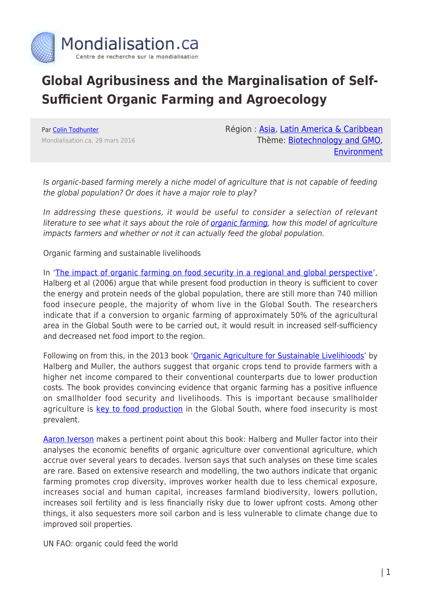

## **Global Agribusiness and the Marginalisation of Self-Sufficient Organic Farming and Agroecology**

Par [Colin Todhunter](https://www.mondialisation.ca/author/colin-todhunter) Mondialisation.ca, 28 mars 2016 Région : [Asia](https://www.mondialisation.ca/region/asia), [Latin America & Caribbean](https://www.mondialisation.ca/region/latin-america-caribbean) Thème: [Biotechnology and GMO](https://www.mondialisation.ca/theme/biotechnology-and-gmo), [Environment](https://www.mondialisation.ca/theme/environment)

Is organic-based farming merely a niche model of agriculture that is not capable of feeding the global population? Or does it have a major role to play?

In addressing these questions, it would be useful to consider a selection of relevant literature to see what it says about the role of *organic farming*, how this model of agriculture impacts farmers and whether or not it can actually feed the global population.

Organic farming and sustainable livelihoods

In '[The impact of organic farming on food security in a regional and global perspective](http://orgprints.org/9209/)', Halberg et al (2006) argue that while present food production in theory is sufficient to cover the energy and protein needs of the global population, there are still more than 740 million food insecure people, the majority of whom live in the Global South. The researchers indicate that if a conversion to organic farming of approximately 50% of the agricultural area in the Global South were to be carried out, it would result in increased self-sufficiency and decreased net food import to the region.

Following on from this, in the 2013 book ['Organic Agriculture for Sustainable Livelihioods](http://www.fibl.org/en/service-en/news-archive/news/article/new-book.html)' by Halberg and Muller, the authors suggest that organic crops tend to provide farmers with a higher net income compared to their conventional counterparts due to lower production costs. The book provides convincing evidence that organic farming has a positive influence on smallholder food security and livelihoods. This is important because smallholder agriculture is [key to food production](http://www.sciencedirect.com/science/article/pii/S0305750X15001217) in the Global South, where food insecurity is most prevalent.

[Aaron Iverson](http://link.springer.com/article/10.1007/s10980-014-0097-9) makes a pertinent point about this book: Halberg and Muller factor into their analyses the economic benefits of organic agriculture over conventional agriculture, which accrue over several years to decades. Iverson says that such analyses on these time scales are rare. Based on extensive research and modelling, the two authors indicate that organic farming promotes crop diversity, improves worker health due to less chemical exposure, increases social and human capital, increases farmland biodiversity, lowers pollution, increases soil fertility and is less financially risky due to lower upfront costs. Among other things, it also sequesters more soil carbon and is less vulnerable to climate change due to improved soil properties.

UN FAO: organic could feed the world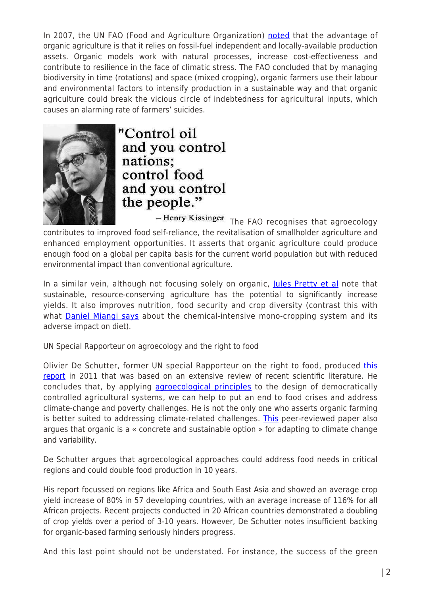In 2007, the UN FAO (Food and Agriculture Organization) [noted](ftp://ftp.fao.org/docrep/fao/meeting/012/ah952e.pdf) that the advantage of organic agriculture is that it relies on fossil-fuel independent and locally-available production assets. Organic models work with natural processes, increase cost-effectiveness and contribute to resilience in the face of climatic stress. The FAO concluded that by managing biodiversity in time (rotations) and space (mixed cropping), organic farmers use their labour and environmental factors to intensify production in a sustainable way and that organic agriculture could break the vicious circle of indebtedness for agricultural inputs, which causes an alarming rate of farmers' suicides.



"Control oil and you control nations; control food and you control the people."

 $-$  Henry Kissinger<br>  $\,$ The FAO recognises that agroecology contributes to improved food self-reliance, the revitalisation of smallholder agriculture and enhanced employment opportunities. It asserts that organic agriculture could produce enough food on a global per capita basis for the current world population but with reduced environmental impact than conventional agriculture.

In a similar vein, although not focusing solely on organic, [Jules Pretty et al](http://www.julespretty.com/wp-content/uploads/2013/09/7.-Pretty-et-al-EST-2006-Vol-40-4-pp-1114-19.pdf) note that sustainable, resource-conserving agriculture has the potential to significantly increase yields. It also improves nutrition, food security and crop diversity (contrast this with what **Daniel Miangi says** about the chemical-intensive mono-cropping system and its adverse impact on diet).

UN Special Rapporteur on agroecology and the right to food

Olivier De Schutter, former UN special Rapporteur on the right to food, produced [this](http://www.srfood.org/en/final-report-to-un-human-rights-council) [report](http://www.srfood.org/en/final-report-to-un-human-rights-council) in 2011 that was based on an extensive review of recent scientific literature. He concludes that, by applying [agroecological principles](http://www.uvm.edu/%7Eagroecol/MendezVEEtAl_AgroecologyTransdisiplinaryPARApproach_13.pdf) to the design of democratically controlled agricultural systems, we can help to put an end to food crises and address climate-change and poverty challenges. He is not the only one who asserts organic farming is better suited to addressing climate-related challenges. [This](http://www.agriculturejournal.org/volume1number1/organic-farming-as-a-climate-change-adaptation-and-mitigation-strategy/) peer-reviewed paper also argues that organic is a « concrete and sustainable option » for adapting to climate change and variability.

De Schutter argues that agroecological approaches could address food needs in critical regions and could double food production in 10 years.

His report focussed on regions like Africa and South East Asia and showed an average crop yield increase of 80% in 57 developing countries, with an average increase of 116% for all African projects. Recent projects conducted in 20 African countries demonstrated a doubling of crop yields over a period of 3-10 years. However, De Schutter notes insufficient backing for organic-based farming seriously hinders progress.

And this last point should not be understated. For instance, the success of the green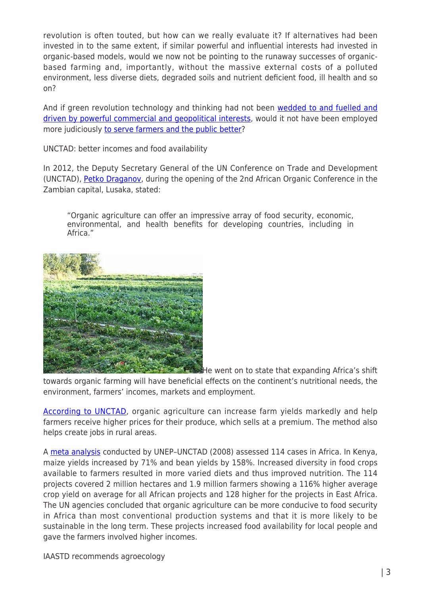revolution is often touted, but how can we really evaluate it? If alternatives had been invested in to the same extent, if similar powerful and influential interests had invested in organic-based models, would we now not be pointing to the runaway successes of organicbased farming and, importantly, without the massive external costs of a polluted environment, less diverse diets, degraded soils and nutrient deficient food, ill health and so on?

And if green revolution technology and thinking had not been [wedded to and fuelled and](http://www.theecologist.org/essays/2987404/feeding_the_bank_balance_gmos_development_and_the_politics_of_happiness.html) [driven by powerful commercial and geopolitical interests,](http://www.theecologist.org/essays/2987404/feeding_the_bank_balance_gmos_development_and_the_politics_of_happiness.html) would it not have been employed more judiciously [to serve farmers and the public better?](http://histphil.org/2016/01/04/was-the-green-revolution-a-humanitarian-undertaking/)

UNCTAD: better incomes and food availability

In 2012, the Deputy Secretary General of the UN Conference on Trade and Development (UNCTAD), [Petko Draganov,](http://unctad.org/en/pages/PressRelease.aspx?OriginalVersionID=71) during the opening of the 2nd African Organic Conference in the Zambian capital, Lusaka, stated:

"Organic agriculture can offer an impressive array of food security, economic, environmental, and health benefits for developing countries, including in Africa."



environment, farmers' incomes, markets and employment.

He went on to state that expanding Africa's shift towards organic farming will have beneficial effects on the continent's nutritional needs, the

[According to UNCTAD,](http://unctad.org/en/Docs/ditcted200512ch3p1_en.pdf) organic agriculture can increase farm yields markedly and help farmers receive higher prices for their produce, which sells at a premium. The method also helps create jobs in rural areas.

A [meta analysis](http://unctad.org/en/docs/ditcted200715_en.pdf) conducted by UNEP-UNCTAD (2008) assessed 114 cases in Africa. In Kenya, maize yields increased by 71% and bean yields by 158%. Increased diversity in food crops available to farmers resulted in more varied diets and thus improved nutrition. The 114 projects covered 2 million hectares and 1.9 million farmers showing a 116% higher average crop yield on average for all African projects and 128 higher for the projects in East Africa. The UN agencies concluded that organic agriculture can be more conducive to food security in Africa than most conventional production systems and that it is more likely to be sustainable in the long term. These projects increased food availability for local people and gave the farmers involved higher incomes.

IAASTD recommends agroecology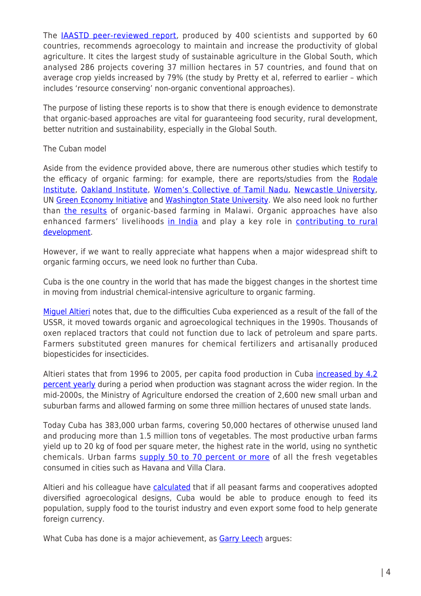The [IAASTD peer-reviewed report](https://www.mondialisation.ca/javascript:void(0)), produced by 400 scientists and supported by 60 countries, recommends agroecology to maintain and increase the productivity of global agriculture. It cites the largest study of sustainable agriculture in the Global South, which analysed 286 projects covering 37 million hectares in 57 countries, and found that on average crop yields increased by 79% (the study by Pretty et al, referred to earlier – which includes 'resource conserving' non-organic conventional approaches).

The purpose of listing these reports is to show that there is enough evidence to demonstrate that organic-based approaches are vital for guaranteeing food security, rural development, better nutrition and sustainability, especially in the Global South.

## The Cuban model

Aside from the evidence provided above, there are numerous other studies which testify to the efficacy of organic farming: for example, there are reports/studies from the [Rodale](http://rodaleinstitute.org/assets/FSTbooklet.pdf) [Institute](http://rodaleinstitute.org/assets/FSTbooklet.pdf), [Oakland Institute,](http://www.oaklandinstitute.org/agroecology-case-studies) [Women's Collective of Tamil Nadu,](http://www.theecologist.org/Interviews/2985620/agroecology_leading_the_fight_against_indias_green_revolution.html) [Newcastle University,](http://www.ncl.ac.uk/press/news/2015/10/organicvsnon-organicfood/) UN [Green Economy Initiative](http://www.unep.org/greeneconomy/SuccessStories/OrganicagricultureinUganda/tabid/29866) and [Washington State University.](http://www.euractiv.com/section/agriculture-food/news/organic-farmers-could-feed-the-world/) We also need look no further than [the results](http://www.fao.org/fileadmin/user_upload/agn/pdf/FAO-expert-meeting-submission-Bezner-Kerr-et-al-ver4-2_FAO_comments_doc.pdf) of organic-based farming in Malawi. Organic approaches have also enhanced farmers' livelihoods [in India](http://orgprints.org/11634/1/11634.pdf) and play a key role in [contributing to rural](http://unctad.org/en/docs/ditcted200715_en.pdf) [development](http://unctad.org/en/docs/ditcted200715_en.pdf).

However, if we want to really appreciate what happens when a major widespread shift to organic farming occurs, we need look no further than Cuba.

Cuba is the one country in the world that has made the biggest changes in the shortest time in moving from industrial chemical-intensive agriculture to organic farming.

[Miguel Altieri](https://theconversation.com/cubas-sustainable-agriculture-at-risk-in-u-s-thaw-56773) notes that, due to the difficulties Cuba experienced as a result of the fall of the USSR, it moved towards organic and agroecological techniques in the 1990s. Thousands of oxen replaced tractors that could not function due to lack of petroleum and spare parts. Farmers substituted green manures for chemical fertilizers and artisanally produced biopesticides for insecticides.

Altieri states that from 1996 to 2005, per capita food production in Cuba *[increased by 4.2](ftp://ftp.fao.org/docrep/fao/009/a0800e/a0800e.pdf)* [percent yearly](ftp://ftp.fao.org/docrep/fao/009/a0800e/a0800e.pdf) during a period when production was stagnant across the wider region. In the mid-2000s, the Ministry of Agriculture endorsed the creation of 2,600 new small urban and suburban farms and allowed farming on some three million hectares of unused state lands.

Today Cuba has 383,000 urban farms, covering 50,000 hectares of otherwise unused land and producing more than 1.5 million tons of vegetables. The most productive urban farms yield up to 20 kg of food per square meter, the highest rate in the world, using no synthetic chemicals. Urban farms [supply 50 to 70 percent or more](http://monthlyreview.org/2012/01/01/the-paradox-of-cuban-agriculture/) of all the fresh vegetables consumed in cities such as Havana and Villa Clara.

Altieri and his colleague have [calculated](http://monthlyreview.org/2012/01/01/the-paradox-of-cuban-agriculture/) that if all peasant farms and cooperatives adopted diversified agroecological designs, Cuba would be able to produce enough to feed its population, supply food to the tourist industry and even export some food to help generate foreign currency.

What Cuba has done is a major achievement, as **Garry Leech** argues: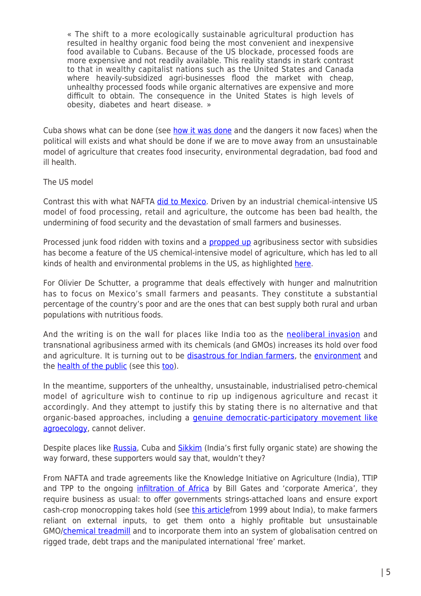« The shift to a more ecologically sustainable agricultural production has resulted in healthy organic food being the most convenient and inexpensive food available to Cubans. Because of the US blockade, processed foods are more expensive and not readily available. This reality stands in stark contrast to that in wealthy capitalist nations such as the United States and Canada where heavily-subsidized agri-businesses flood the market with cheap, unhealthy processed foods while organic alternatives are expensive and more difficult to obtain. The consequence in the United States is high levels of obesity, diabetes and heart disease. »

Cuba shows what can be done (see [how it was done](http://www.counterpunch.org/2013/06/07/cubas-other-revolution) and the dangers it now faces) when the political will exists and what should be done if we are to move away from an unsustainable model of agriculture that creates food insecurity, environmental degradation, bad food and ill health.

## The US model

Contrast this with what NAFTA [did to Mexico.](https://www.grain.org/article/entries/5170-free-trade-and-mexico-s-junk-food-epidemic) Driven by an industrial chemical-intensive US model of food processing, retail and agriculture, the outcome has been bad health, the undermining of food security and the devastation of small farmers and businesses.

Processed junk food ridden with toxins and a **[propped up](http://www.theatlantic.com/health/archive/2012/03/overhauling-the-farm-bill-the-real-beneficiaries-of-subsidies/254422/)** agribusiness sector with subsidies has become a feature of the US chemical-intensive model of agriculture, which has led to all kinds of health and environmental problems in the US, as highlighted [here.](http://naturalsociety.com/34000-pesticides-and-600-chemicals-later-our-food-supply-is-no-better-for-it/)

For Olivier De Schutter, a programme that deals effectively with hunger and malnutrition has to focus on Mexico's small farmers and peasants. They constitute a substantial percentage of the country's poor and are the ones that can best supply both rural and urban populations with nutritious foods.

And the writing is on the wall for places like India too as the [neoliberal invasion](http://www.projectcensored.org/8-kia-the-us-neoliberal-invasion-of-india/) and transnational agribusiness armed with its chemicals (and GMOs) increases its hold over food and agriculture. It is turning out to be [disastrous for Indian farmers,](https://www.grain.org/bulletin_board/entries/4993-agriculture-in-terrible-crisis-indian-farmers-are-struggling-to-survive) the [environment](http://link.springer.com/article/10.1023/B:EMAS.0000038197.76047.83) and the **health of the public** (see this **too**).

In the meantime, supporters of the unhealthy, unsustainable, industrialised petro-chemical model of agriculture wish to continue to rip up indigenous agriculture and recast it accordingly. And they attempt to justify this by stating there is no alternative and that organic-based approaches, including a [genuine democratic-participatory movement like](http://www.theecologist.org/essays/2987346/resisting_the_corporate_stranglehold_on_food_and_farming_is_agroecology_enough.html) [agroecology,](http://www.theecologist.org/essays/2987346/resisting_the_corporate_stranglehold_on_food_and_farming_is_agroecology_enough.html) cannot deliver.

Despite places like [Russia](http://www.fwi.co.uk/news/putin-wants-russia-to-become-world-leader-in-organic-food.htm), Cuba and [Sikkim](http://indiatoday.intoday.in/story/sikkim-becomes-the-first-fully-organic-state-of-india/1/573654.html) (India's first fully organic state) are showing the way forward, these supporters would say that, wouldn't they?

From NAFTA and trade agreements like the Knowledge Initiative on Agriculture (India), TTIP and TPP to the ongoing [infiltration of Africa](http://www.globaljustice.org.uk/sites/default/files/files/resources/gated-development-global-justice-now.pdf) by Bill Gates and 'corporate America', they require business as usual: to offer governments strings-attached loans and ensure export cash-crop monocropping takes hold (see [this article](http://www.theguardian.com/environment/1999/jun/19/food.food)from 1999 about India), to make farmers reliant on external inputs, to get them onto a highly profitable but unsustainable GMO[/chemical treadmill](http://www.theecologist.org/blogs_and_comments/commentators/2986062/the_world_must_step_off_the_chemical_farming_treadmill.html) and to incorporate them into an system of globalisation centred on rigged trade, debt traps and the manipulated international 'free' market.